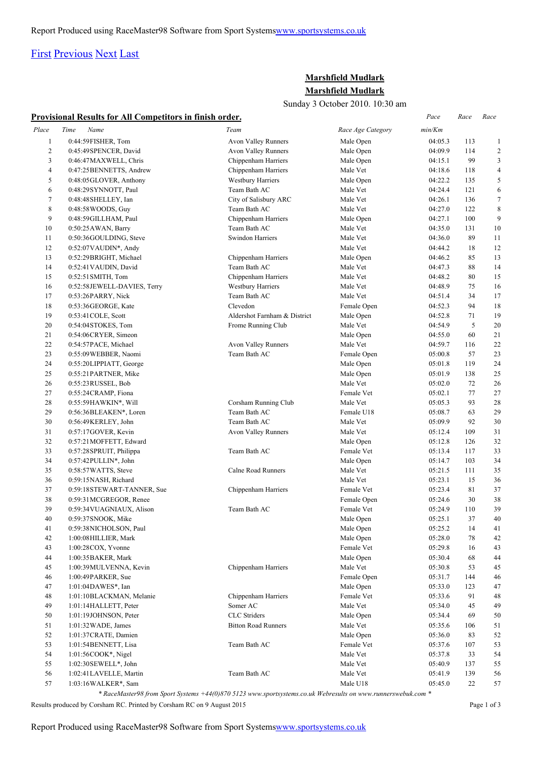# [First](http://www.corshamrunningclub.co.uk/Mudlark/Results/2010/Mudlark Results.html#) [Previous](http://www.corshamrunningclub.co.uk/Mudlark/Results/2010/Mudlark Results.html#) [Next](http://www.corshamrunningclub.co.uk/Mudlark/Results/2010/Mudlark ResultsPage2.html) [Last](http://www.corshamrunningclub.co.uk/Mudlark/Results/2010/Mudlark ResultsPage3.html)

## **Marshfield Mudlark Marshfield Mudlark**

Sunday 3 October 2010. 10:30 am

| Sunday 5 OCtober 2010. 10.50 am |                                                          |                              |                   |         |         |                         |  |  |
|---------------------------------|----------------------------------------------------------|------------------------------|-------------------|---------|---------|-------------------------|--|--|
|                                 | Provisional Results for All Competitors in finish order. |                              |                   | Pace    | Race    | Race                    |  |  |
| Place                           | Time<br>Name                                             | Team                         | Race Age Category | min/Km  |         |                         |  |  |
| $\mathbf{1}$                    | 0:44:59FISHER, Tom                                       | <b>Avon Valley Runners</b>   | Male Open         | 04:05.3 | 113     | $\mathbf{1}$            |  |  |
| $\overline{c}$                  | 0:45:49SPENCER, David                                    | Avon Valley Runners          | Male Open         | 04:09.9 | 114     | $\overline{\mathbf{c}}$ |  |  |
| 3                               | 0:46:47MAXWELL, Chris                                    | Chippenham Harriers          | Male Open         | 04:15.1 | 99      | 3                       |  |  |
| 4                               | 0:47:25BENNETTS, Andrew                                  | Chippenham Harriers          | Male Vet          | 04:18.6 | 118     | 4                       |  |  |
| 5                               | 0:48:05GLOVER, Anthony                                   | <b>Westbury Harriers</b>     | Male Open         | 04:22.2 | 135     | 5                       |  |  |
| 6                               | 0:48:29SYNNOTT, Paul                                     | Team Bath AC                 | Male Vet          | 04:24.4 | 121     | 6                       |  |  |
| $\tau$                          | 0:48:48SHELLEY, Ian                                      | City of Salisbury ARC        | Male Vet          | 04:26.1 | 136     | 7                       |  |  |
| 8                               | 0:48:58 WOODS, Guy                                       | Team Bath AC                 | Male Vet          | 04:27.0 | 122     | 8                       |  |  |
| 9                               | 0:48:59GILLHAM, Paul                                     | Chippenham Harriers          | Male Open         | 04:27.1 | 100     | 9                       |  |  |
| 10                              | 0:50:25 AWAN, Barry                                      | Team Bath AC                 | Male Vet          | 04:35.0 | 131     | 10                      |  |  |
| 11                              | 0:50:36GOULDING, Steve                                   | Swindon Harriers             | Male Vet          | 04:36.0 | 89      | 11                      |  |  |
| 12                              | 0:52:07VAUDIN*, Andy                                     |                              | Male Vet          | 04:44.2 | 18      | 12                      |  |  |
| 13                              | 0:52:29BRIGHT, Michael                                   | Chippenham Harriers          | Male Open         | 04:46.2 | 85      | 13                      |  |  |
| 14                              | 0:52:41 VAUDIN, David                                    | Team Bath AC                 | Male Vet          | 04:47.3 | 88      | 14                      |  |  |
| 15                              | 0:52:51 SMITH, Tom                                       | Chippenham Harriers          | Male Vet          | 04:48.2 | 80      | 15                      |  |  |
| 16                              | 0:52:58JEWELL-DAVIES, Terry                              | <b>Westbury Harriers</b>     | Male Vet          | 04:48.9 | 75      | 16                      |  |  |
| 17                              | 0:53:26PARRY, Nick                                       | Team Bath AC                 | Male Vet          | 04:51.4 | 34      | 17                      |  |  |
| 18                              | 0:53:36GEORGE, Kate                                      | Clevedon                     | Female Open       | 04:52.3 | 94      | 18                      |  |  |
| 19                              | 0:53:41 COLE, Scott                                      | Aldershot Farnham & District | Male Open         | 04:52.8 | 71      | 19                      |  |  |
| 20                              | 0:54:04STOKES, Tom                                       | Frome Running Club           | Male Vet          | 04:54.9 | 5       | 20                      |  |  |
| 21                              | 0:54:06CRYER, Simeon                                     |                              | Male Open         | 04:55.0 | 60      | 21                      |  |  |
| 22                              | 0:54:57PACE, Michael                                     | Avon Valley Runners          | Male Vet          | 04:59.7 | 116     | 22                      |  |  |
| 23                              | 0:55:09 WEBBER, Naomi                                    | Team Bath AC                 | Female Open       | 05:00.8 | 57      | 23                      |  |  |
| 24                              | 0:55:20LIPPIATT, George                                  |                              | Male Open         | 05:01.8 | 119     | 24                      |  |  |
| 25                              | 0:55:21PARTNER, Mike                                     |                              | Male Open         | 05:01.9 | 138     | 25                      |  |  |
| 26                              | $0:55:23$ RUSSEL, Bob                                    |                              | Male Vet          | 05:02.0 | 72      | 26                      |  |  |
| 27                              | 0:55:24CRAMP, Fiona                                      |                              | Female Vet        | 05:02.1 | 77      | 27                      |  |  |
| 28                              | 0:55:59HAWKIN*, Will                                     | Corsham Running Club         | Male Vet          | 05:05.3 | 93      | 28                      |  |  |
| 29                              | 0:56:36BLEAKEN*, Loren                                   | Team Bath AC                 | Female U18        | 05:08.7 | 63      | 29                      |  |  |
| 30                              | 0:56:49KERLEY, John                                      | Team Bath AC                 | Male Vet          | 05:09.9 | 92      | 30                      |  |  |
| 31                              | 0:57:17GOVER, Kevin                                      | <b>Avon Valley Runners</b>   | Male Vet          | 05:12.4 | 109     | 31                      |  |  |
| 32                              | 0:57:21MOFFETT, Edward                                   |                              | Male Open         | 05:12.8 | 126     | 32                      |  |  |
| 33                              | 0:57:28SPRUIT, Philippa                                  | Team Bath AC                 | Female Vet        | 05:13.4 | 117     | 33                      |  |  |
| 34                              | $0:57:42$ PULLIN*, John                                  |                              | Male Open         | 05:14.7 | 103     | 34                      |  |  |
| 35                              | 0:58:57WATTS, Steve                                      | <b>Calne Road Runners</b>    | Male Vet          | 05:21.5 | 111     | 35                      |  |  |
| 36                              | 0:59:15NASH, Richard                                     |                              | Male Vet          | 05:23.1 | 15      | 36                      |  |  |
| 37                              | 0:59:18STEWART-TANNER, Sue                               | Chippenham Harriers          | Female Vet        | 05:23.4 | 81      | 37                      |  |  |
| 38                              | 0:59:31MCGREGOR, Renee                                   |                              | Female Open       | 05:24.6 | 30      | 38                      |  |  |
| 39                              | 0:59:34VUAGNIAUX, Alison                                 | Team Bath AC                 | Female Vet        | 05:24.9 | $110\,$ | 39                      |  |  |
| 40                              | 0:59:37SNOOK, Mike                                       |                              | Male Open         | 05:25.1 | 37      | 40                      |  |  |
| 41                              | 0:59:38NICHOLSON, Paul                                   |                              | Male Open         | 05:25.2 | 14      | 41                      |  |  |
| 42                              | 1:00:08 HILLIER, Mark                                    |                              | Male Open         | 05:28.0 | 78      | 42                      |  |  |
| 43                              | 1:00:28COX, Yvonne                                       |                              | Female Vet        | 05:29.8 | 16      | 43                      |  |  |
| 44                              | 1:00:35BAKER, Mark                                       |                              | Male Open         | 05:30.4 | 68      | 44                      |  |  |
| 45                              | 1:00:39MULVENNA, Kevin                                   | Chippenham Harriers          | Male Vet          | 05:30.8 | 53      | 45                      |  |  |
| 46                              | $1:00:49$ PARKER, Sue                                    |                              | Female Open       | 05:31.7 | 144     | 46                      |  |  |
| 47                              | 1:01:04DAWES*, Ian                                       |                              | Male Open         | 05:33.0 | 123     | 47                      |  |  |
| 48                              | 1:01:10BLACKMAN, Melanie                                 | Chippenham Harriers          | Female Vet        | 05:33.6 | 91      | 48                      |  |  |
| 49                              | 1:01:14HALLETT, Peter                                    | Somer AC                     | Male Vet          | 05:34.0 | 45      | 49                      |  |  |
| 50                              | 1:01:19JOHNSON, Peter                                    | CLC Striders                 | Male Open         | 05:34.4 | 69      | 50                      |  |  |
| 51                              | $1:01:32$ WADE, James                                    | <b>Bitton Road Runners</b>   | Male Vet          | 05:35.6 | 106     | 51                      |  |  |
| 52                              | 1:01:37 CRATE, Damien                                    |                              | Male Open         | 05:36.0 | 83      | 52                      |  |  |
| 53                              | 1:01:54BENNETT, Lisa                                     | Team Bath AC                 | Female Vet        | 05:37.6 | 107     | 53                      |  |  |
| 54                              | 1:01:56COOK*, Nigel                                      |                              | Male Vet          | 05:37.8 | 33      | 54                      |  |  |
| 55                              | 1:02:30SEWELL*, John                                     |                              | Male Vet          | 05:40.9 | 137     |                         |  |  |
| 56                              | 1:02:41LAVELLE, Martin                                   | Team Bath AC                 | Male Vet          |         | 139     | 55<br>56                |  |  |
| 57                              | 1:03:16WALKER*, Sam                                      |                              |                   | 05:41.9 | 22      | 57                      |  |  |
|                                 |                                                          |                              | Male U18          | 05:45.0 |         |                         |  |  |

*\* RaceMaster98 from Sport Systems +44(0)870 5123 www.sportsystems.co.uk Webresults on www.runnerswebuk.com \**

Results produced by Corsham RC. Printed by Corsham RC on 9 August 2015 Page 1 of 3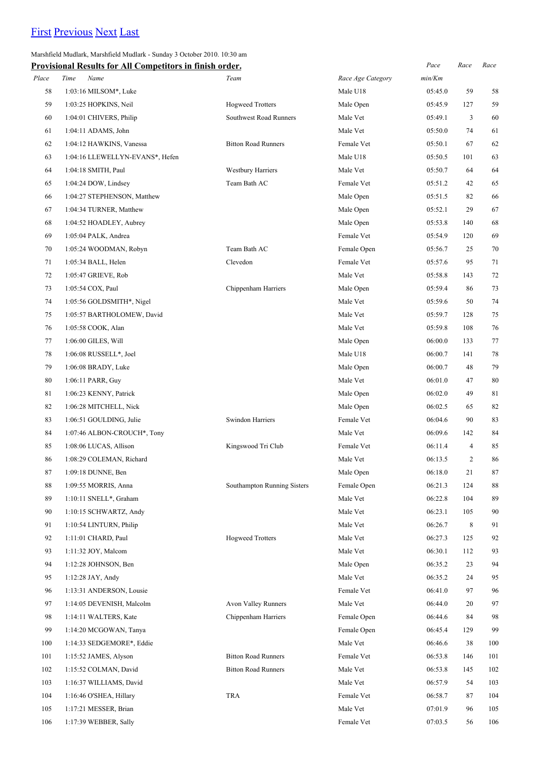# [First](http://www.corshamrunningclub.co.uk/Mudlark/Results/2010/Mudlark Results.html) [Previous](http://www.corshamrunningclub.co.uk/Mudlark/Results/2010/Mudlark Results.html) [Next](http://www.corshamrunningclub.co.uk/Mudlark/Results/2010/Mudlark ResultsPage3.html) [Last](http://www.corshamrunningclub.co.uk/Mudlark/Results/2010/Mudlark ResultsPage3.html)

Marshfield Mudlark, Marshfield Mudlark - Sunday 3 October 2010. 10:30 am

| <b>Provisional Results for All Competitors in finish order.</b> |  |  |
|-----------------------------------------------------------------|--|--|
|                                                                 |  |  |

|       | Provisional Results for All Competitors in finish order. |                             |                   | Pace    | Race           | Race |
|-------|----------------------------------------------------------|-----------------------------|-------------------|---------|----------------|------|
| Place | Time<br>Name                                             | Team                        | Race Age Category | min/Km  |                |      |
| 58    | 1:03:16 MILSOM*, Luke                                    |                             | Male U18          | 05:45.0 | 59             | 58   |
| 59    | 1:03:25 HOPKINS, Neil                                    | <b>Hogweed Trotters</b>     | Male Open         | 05:45.9 | 127            | 59   |
| 60    | 1:04:01 CHIVERS, Philip                                  | Southwest Road Runners      | Male Vet          | 05:49.1 | 3              | 60   |
| 61    | 1:04:11 ADAMS, John                                      |                             | Male Vet          | 05:50.0 | 74             | 61   |
| 62    | 1:04:12 HAWKINS, Vanessa                                 | <b>Bitton Road Runners</b>  | Female Vet        | 05:50.1 | 67             | 62   |
| 63    | 1:04:16 LLEWELLYN-EVANS*, Hefen                          |                             | Male U18          | 05:50.5 | 101            | 63   |
| 64    | 1:04:18 SMITH, Paul                                      | <b>Westbury Harriers</b>    | Male Vet          | 05:50.7 | 64             | 64   |
| 65    | 1:04:24 DOW, Lindsey                                     | Team Bath AC                | Female Vet        | 05:51.2 | 42             | 65   |
| 66    | 1:04:27 STEPHENSON, Matthew                              |                             | Male Open         | 05:51.5 | 82             | 66   |
| 67    | 1:04:34 TURNER, Matthew                                  |                             | Male Open         | 05:52.1 | 29             | 67   |
| 68    | 1:04:52 HOADLEY, Aubrey                                  |                             | Male Open         | 05:53.8 | 140            | 68   |
| 69    | 1:05:04 PALK, Andrea                                     |                             | Female Vet        | 05:54.9 | 120            | 69   |
| 70    | 1:05:24 WOODMAN, Robyn                                   | Team Bath AC                | Female Open       | 05:56.7 | 25             | 70   |
| 71    | 1:05:34 BALL, Helen                                      | Clevedon                    | Female Vet        | 05:57.6 | 95             | 71   |
| 72    | 1:05:47 GRIEVE, Rob                                      |                             | Male Vet          | 05:58.8 | 143            | 72   |
| 73    | 1:05:54 COX, Paul                                        | Chippenham Harriers         | Male Open         | 05:59.4 | 86             | 73   |
| 74    | 1:05:56 GOLDSMITH*, Nigel                                |                             | Male Vet          | 05:59.6 | 50             | 74   |
| 75    | 1:05:57 BARTHOLOMEW, David                               |                             | Male Vet          | 05:59.7 | 128            | 75   |
| 76    | 1:05:58 COOK, Alan                                       |                             | Male Vet          | 05:59.8 | 108            | 76   |
| 77    | 1:06:00 GILES, Will                                      |                             | Male Open         | 06:00.0 | 133            | 77   |
| 78    | $1:06:08$ RUSSELL*, Joel                                 |                             | Male U18          | 06:00.7 | 141            | 78   |
| 79    | 1:06:08 BRADY, Luke                                      |                             | Male Open         | 06:00.7 | 48             | 79   |
| 80    | 1:06:11 PARR, Guy                                        |                             | Male Vet          | 06:01.0 | 47             | 80   |
| 81    | 1:06:23 KENNY, Patrick                                   |                             | Male Open         | 06:02.0 | 49             | 81   |
| 82    | 1:06:28 MITCHELL, Nick                                   |                             | Male Open         | 06:02.5 | 65             | 82   |
| 83    | 1:06:51 GOULDING, Julie                                  | Swindon Harriers            | Female Vet        | 06:04.6 | 90             | 83   |
| 84    | 1:07:46 ALBON-CROUCH*, Tony                              |                             | Male Vet          | 06:09.6 | 142            | 84   |
| 85    | 1:08:06 LUCAS, Allison                                   | Kingswood Tri Club          | Female Vet        | 06:11.4 | $\overline{4}$ | 85   |
| 86    | 1:08:29 COLEMAN, Richard                                 |                             | Male Vet          | 06:13.5 | $\overline{c}$ | 86   |
| 87    | 1:09:18 DUNNE, Ben                                       |                             | Male Open         | 06:18.0 | 21             | 87   |
| 88    | 1:09:55 MORRIS, Anna                                     | Southampton Running Sisters | Female Open       | 06:21.3 | 124            | 88   |
| 89    | 1:10:11 SNELL*, Graham                                   |                             | Male Vet          | 06:22.8 | 104            | 89   |
| 90    | 1:10:15 SCHWARTZ, Andy                                   |                             | Male Vet          | 06:23.1 | 105            | 90   |
| 91    | 1:10:54 LINTURN, Philip                                  |                             | Male Vet          | 06:26.7 | 8              | 91   |
| 92    | 1:11:01 CHARD, Paul                                      | <b>Hogweed Trotters</b>     | Male Vet          | 06:27.3 | 125            | 92   |
| 93    | 1:11:32 JOY, Malcom                                      |                             | Male Vet          | 06:30.1 | 112            | 93   |
| 94    | 1:12:28 JOHNSON, Ben                                     |                             | Male Open         | 06:35.2 | 23             | 94   |
| 95    | 1:12:28 JAY, Andy                                        |                             | Male Vet          | 06:35.2 | 24             | 95   |
| 96    | 1:13:31 ANDERSON, Lousie                                 |                             | Female Vet        | 06:41.0 | 97             | 96   |
| 97    | 1:14:05 DEVENISH, Malcolm                                | <b>Avon Valley Runners</b>  | Male Vet          | 06:44.0 | 20             | 97   |
| 98    | 1:14:11 WALTERS, Kate                                    | Chippenham Harriers         | Female Open       | 06:44.6 | 84             | 98   |
| 99    | 1:14:20 MCGOWAN, Tanya                                   |                             | Female Open       | 06:45.4 | 129            | 99   |
| 100   | 1:14:33 SEDGEMORE*, Eddie                                |                             | Male Vet          | 06:46.6 | 38             | 100  |
| 101   | 1:15:52 JAMES, Alyson                                    | <b>Bitton Road Runners</b>  | Female Vet        | 06:53.8 | 146            | 101  |
| 102   | 1:15:52 COLMAN, David                                    | <b>Bitton Road Runners</b>  | Male Vet          | 06:53.8 | 145            | 102  |
| 103   | 1:16:37 WILLIAMS, David                                  |                             | Male Vet          | 06:57.9 | 54             | 103  |
| 104   | 1:16:46 O'SHEA, Hillary                                  | <b>TRA</b>                  | Female Vet        | 06:58.7 | 87             | 104  |
| 105   | 1:17:21 MESSER, Brian                                    |                             | Male Vet          | 07:01.9 | 96             | 105  |
| 106   | 1:17:39 WEBBER, Sally                                    |                             | Female Vet        | 07:03.5 | 56             | 106  |
|       |                                                          |                             |                   |         |                |      |